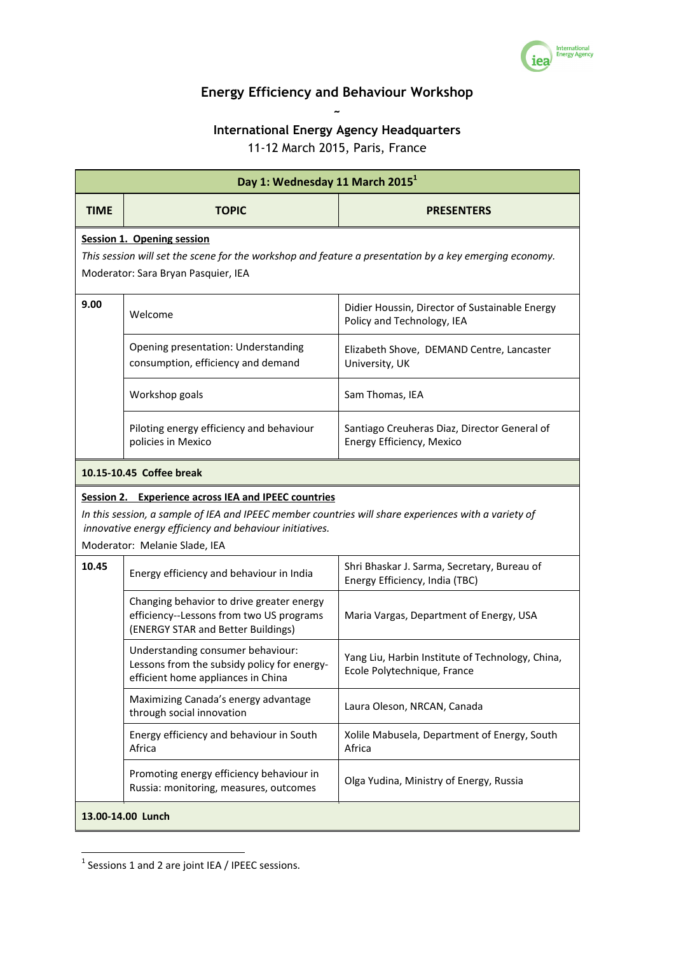

## **Energy Efficiency and Behaviour Workshop ~**

## **International Energy Agency Headquarters**

11-12 March 2015, Paris, France

| Day 1: Wednesday 11 March 2015 <sup>1</sup>                                                                                                                                                                                                              |                                                                                                                             |                                                                                 |  |  |
|----------------------------------------------------------------------------------------------------------------------------------------------------------------------------------------------------------------------------------------------------------|-----------------------------------------------------------------------------------------------------------------------------|---------------------------------------------------------------------------------|--|--|
| <b>TIME</b>                                                                                                                                                                                                                                              | <b>TOPIC</b>                                                                                                                | <b>PRESENTERS</b>                                                               |  |  |
| <b>Session 1. Opening session</b><br>This session will set the scene for the workshop and feature a presentation by a key emerging economy.<br>Moderator: Sara Bryan Pasquier, IEA                                                                       |                                                                                                                             |                                                                                 |  |  |
| 9.00                                                                                                                                                                                                                                                     | Welcome                                                                                                                     | Didier Houssin, Director of Sustainable Energy<br>Policy and Technology, IEA    |  |  |
|                                                                                                                                                                                                                                                          | Opening presentation: Understanding<br>consumption, efficiency and demand                                                   | Elizabeth Shove, DEMAND Centre, Lancaster<br>University, UK                     |  |  |
|                                                                                                                                                                                                                                                          | Workshop goals                                                                                                              | Sam Thomas, IEA                                                                 |  |  |
|                                                                                                                                                                                                                                                          | Piloting energy efficiency and behaviour<br>policies in Mexico                                                              | Santiago Creuheras Diaz, Director General of<br>Energy Efficiency, Mexico       |  |  |
| 10.15-10.45 Coffee break                                                                                                                                                                                                                                 |                                                                                                                             |                                                                                 |  |  |
| Session 2. Experience across IEA and IPEEC countries<br>In this session, a sample of IEA and IPEEC member countries will share experiences with a variety of<br>innovative energy efficiency and behaviour initiatives.<br>Moderator: Melanie Slade, IEA |                                                                                                                             |                                                                                 |  |  |
| 10.45                                                                                                                                                                                                                                                    | Energy efficiency and behaviour in India                                                                                    | Shri Bhaskar J. Sarma, Secretary, Bureau of<br>Energy Efficiency, India (TBC)   |  |  |
|                                                                                                                                                                                                                                                          | Changing behavior to drive greater energy<br>efficiency--Lessons from two US programs<br>(ENERGY STAR and Better Buildings) | Maria Vargas, Department of Energy, USA                                         |  |  |
|                                                                                                                                                                                                                                                          | Understanding consumer behaviour:<br>Lessons from the subsidy policy for energy-<br>efficient home appliances in China      | Yang Liu, Harbin Institute of Technology, China,<br>Ecole Polytechnique, France |  |  |
|                                                                                                                                                                                                                                                          | Maximizing Canada's energy advantage<br>through social innovation                                                           | Laura Oleson, NRCAN, Canada                                                     |  |  |
|                                                                                                                                                                                                                                                          | Energy efficiency and behaviour in South<br>Africa                                                                          | Xolile Mabusela, Department of Energy, South<br>Africa                          |  |  |
|                                                                                                                                                                                                                                                          | Promoting energy efficiency behaviour in<br>Russia: monitoring, measures, outcomes                                          | Olga Yudina, Ministry of Energy, Russia                                         |  |  |
| 13.00-14.00 Lunch                                                                                                                                                                                                                                        |                                                                                                                             |                                                                                 |  |  |

  $<sup>1</sup>$  Sessions 1 and 2 are joint IEA / IPEEC sessions.</sup>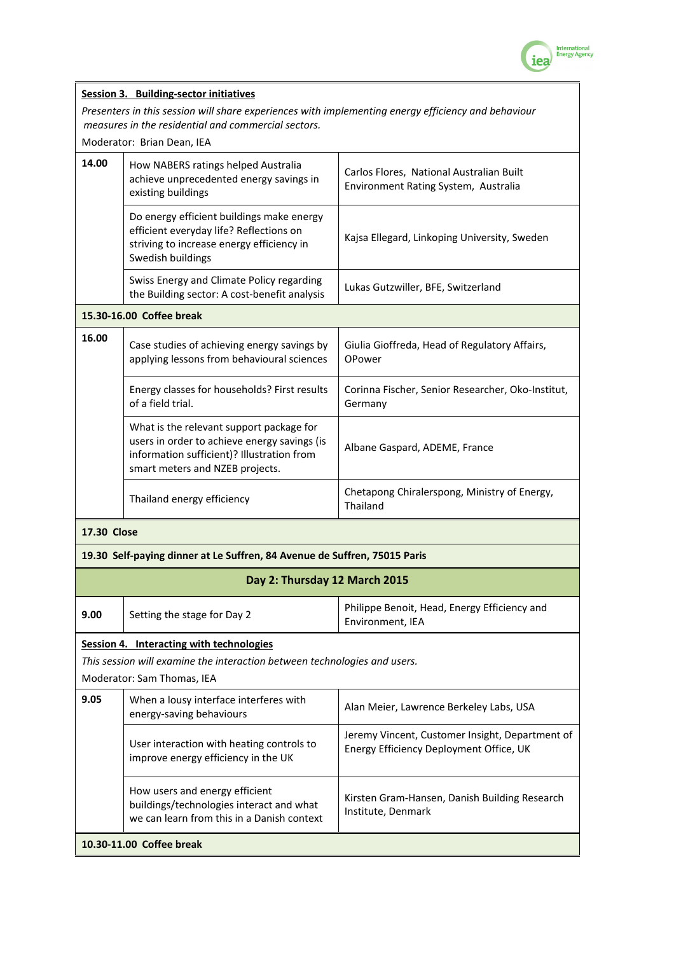

|                                                                                                         | <b>Session 3. Building-sector initiatives</b>                                                                                                                             |                                                                                            |  |  |  |
|---------------------------------------------------------------------------------------------------------|---------------------------------------------------------------------------------------------------------------------------------------------------------------------------|--------------------------------------------------------------------------------------------|--|--|--|
|                                                                                                         | Presenters in this session will share experiences with implementing energy efficiency and behaviour                                                                       |                                                                                            |  |  |  |
| measures in the residential and commercial sectors.                                                     |                                                                                                                                                                           |                                                                                            |  |  |  |
|                                                                                                         | Moderator: Brian Dean, IEA                                                                                                                                                |                                                                                            |  |  |  |
| 14.00                                                                                                   | How NABERS ratings helped Australia<br>achieve unprecedented energy savings in<br>existing buildings                                                                      | Carlos Flores, National Australian Built<br>Environment Rating System, Australia           |  |  |  |
|                                                                                                         | Do energy efficient buildings make energy<br>efficient everyday life? Reflections on<br>striving to increase energy efficiency in<br>Swedish buildings                    | Kajsa Ellegard, Linkoping University, Sweden                                               |  |  |  |
|                                                                                                         | Swiss Energy and Climate Policy regarding<br>the Building sector: A cost-benefit analysis                                                                                 | Lukas Gutzwiller, BFE, Switzerland                                                         |  |  |  |
| 15.30-16.00 Coffee break                                                                                |                                                                                                                                                                           |                                                                                            |  |  |  |
| 16.00                                                                                                   | Case studies of achieving energy savings by<br>applying lessons from behavioural sciences                                                                                 | Giulia Gioffreda, Head of Regulatory Affairs,<br>OPower                                    |  |  |  |
|                                                                                                         | Energy classes for households? First results<br>of a field trial.                                                                                                         | Corinna Fischer, Senior Researcher, Oko-Institut,<br>Germany                               |  |  |  |
|                                                                                                         | What is the relevant support package for<br>users in order to achieve energy savings (is<br>information sufficient)? Illustration from<br>smart meters and NZEB projects. | Albane Gaspard, ADEME, France                                                              |  |  |  |
|                                                                                                         | Thailand energy efficiency                                                                                                                                                | Chetapong Chiralerspong, Ministry of Energy,<br>Thailand                                   |  |  |  |
| <b>17.30 Close</b>                                                                                      |                                                                                                                                                                           |                                                                                            |  |  |  |
|                                                                                                         | 19.30 Self-paying dinner at Le Suffren, 84 Avenue de Suffren, 75015 Paris                                                                                                 |                                                                                            |  |  |  |
| Day 2: Thursday 12 March 2015                                                                           |                                                                                                                                                                           |                                                                                            |  |  |  |
| 9.00                                                                                                    | Setting the stage for Day 2                                                                                                                                               | Philippe Benoit, Head, Energy Efficiency and<br>Environment, IEA                           |  |  |  |
| Session 4. Interacting with technologies                                                                |                                                                                                                                                                           |                                                                                            |  |  |  |
| This session will examine the interaction between technologies and users.<br>Moderator: Sam Thomas, IEA |                                                                                                                                                                           |                                                                                            |  |  |  |
| 9.05                                                                                                    | When a lousy interface interferes with<br>energy-saving behaviours                                                                                                        | Alan Meier, Lawrence Berkeley Labs, USA                                                    |  |  |  |
|                                                                                                         | User interaction with heating controls to<br>improve energy efficiency in the UK                                                                                          | Jeremy Vincent, Customer Insight, Department of<br>Energy Efficiency Deployment Office, UK |  |  |  |
|                                                                                                         | How users and energy efficient<br>buildings/technologies interact and what<br>we can learn from this in a Danish context                                                  | Kirsten Gram-Hansen, Danish Building Research<br>Institute, Denmark                        |  |  |  |
| 10.30-11.00 Coffee break                                                                                |                                                                                                                                                                           |                                                                                            |  |  |  |